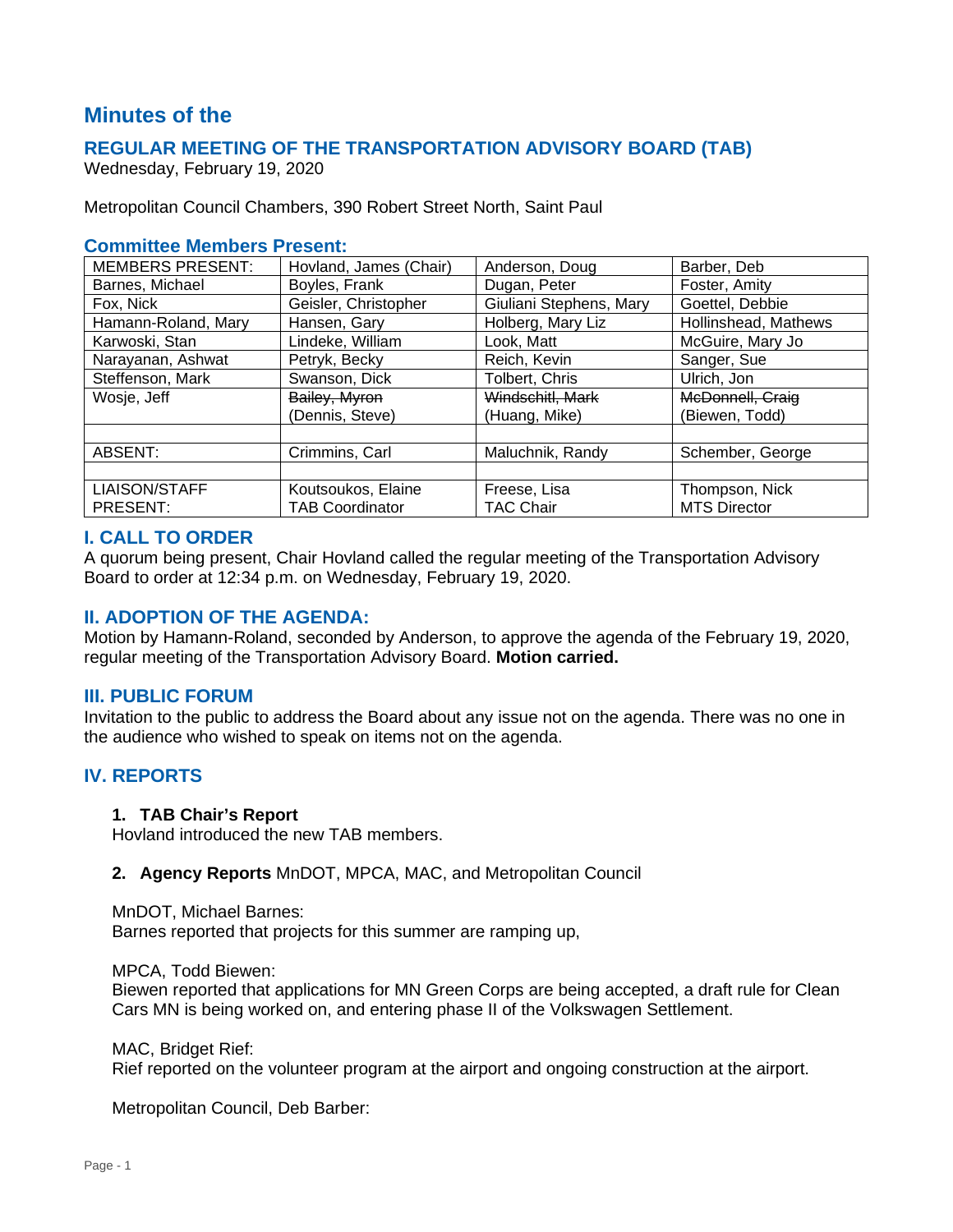# **Minutes of the**

# **REGULAR MEETING OF THE TRANSPORTATION ADVISORY BOARD (TAB)**

Wednesday, February 19, 2020

Metropolitan Council Chambers, 390 Robert Street North, Saint Paul

#### **Committee Members Present:**

| <b>MEMBERS PRESENT:</b> | Hovland, James (Chair) | Anderson, Doug          | Barber, Deb          |
|-------------------------|------------------------|-------------------------|----------------------|
| Barnes, Michael         | Boyles, Frank          | Dugan, Peter            | Foster, Amity        |
| Fox, Nick               | Geisler, Christopher   | Giuliani Stephens, Mary | Goettel, Debbie      |
| Hamann-Roland, Mary     | Hansen, Gary           | Holberg, Mary Liz       | Hollinshead, Mathews |
| Karwoski, Stan          | Lindeke, William       | Look, Matt              | McGuire, Mary Jo     |
| Narayanan, Ashwat       | Petryk, Becky          | Reich, Kevin            | Sanger, Sue          |
| Steffenson, Mark        | Swanson, Dick          | Tolbert, Chris          | Ulrich, Jon          |
| Wosje, Jeff             | Bailey, Myron          | Windschitl, Mark        | McDonnell, Craig     |
|                         | (Dennis, Steve)        | (Huang, Mike)           | (Biewen, Todd)       |
|                         |                        |                         |                      |
| ABSENT:                 | Crimmins, Carl         | Maluchnik, Randy        | Schember, George     |
|                         |                        |                         |                      |
| <b>LIAISON/STAFF</b>    | Koutsoukos, Elaine     | Freese, Lisa            | Thompson, Nick       |
| PRESENT:                | <b>TAB Coordinator</b> | TAC Chair               | <b>MTS Director</b>  |

#### **I. CALL TO ORDER**

A quorum being present, Chair Hovland called the regular meeting of the Transportation Advisory Board to order at 12:34 p.m. on Wednesday, February 19, 2020.

#### **II. ADOPTION OF THE AGENDA:**

Motion by Hamann-Roland, seconded by Anderson, to approve the agenda of the February 19, 2020, regular meeting of the Transportation Advisory Board. **Motion carried.**

#### **III. PUBLIC FORUM**

Invitation to the public to address the Board about any issue not on the agenda. There was no one in the audience who wished to speak on items not on the agenda.

# **IV. REPORTS**

#### **1. TAB Chair's Report**

Hovland introduced the new TAB members.

#### **2. Agency Reports** MnDOT, MPCA, MAC, and Metropolitan Council

MnDOT, Michael Barnes:

Barnes reported that projects for this summer are ramping up,

MPCA, Todd Biewen:

Biewen reported that applications for MN Green Corps are being accepted, a draft rule for Clean Cars MN is being worked on, and entering phase II of the Volkswagen Settlement.

MAC, Bridget Rief:

Rief reported on the volunteer program at the airport and ongoing construction at the airport.

Metropolitan Council, Deb Barber: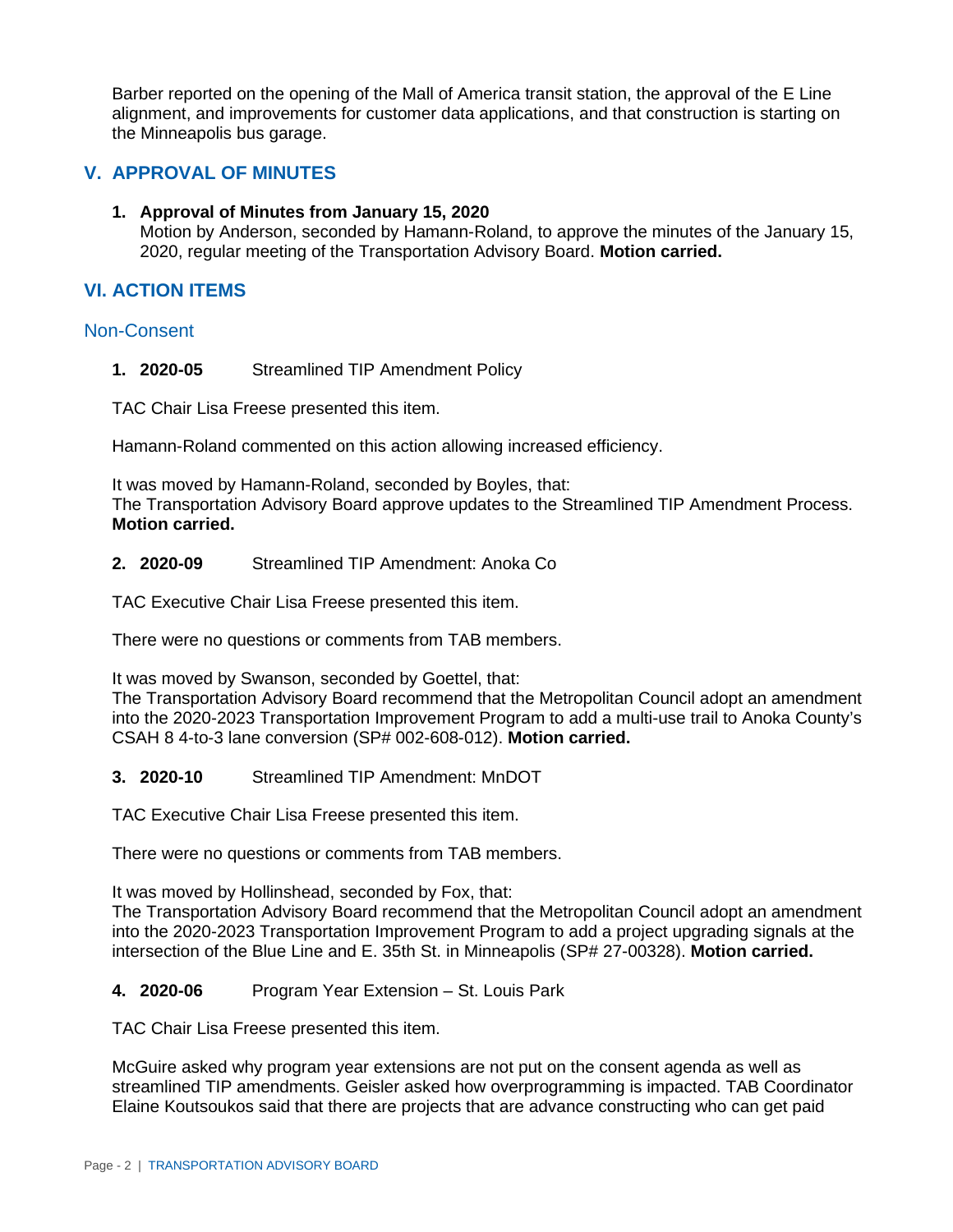Barber reported on the opening of the Mall of America transit station, the approval of the E Line alignment, and improvements for customer data applications, and that construction is starting on the Minneapolis bus garage.

# **V. APPROVAL OF MINUTES**

**1. Approval of Minutes from January 15, 2020** Motion by Anderson, seconded by Hamann-Roland, to approve the minutes of the January 15, 2020, regular meeting of the Transportation Advisory Board. **Motion carried.**

# **VI. ACTION ITEMS**

# Non-Consent

**1. 2020-05** Streamlined TIP Amendment Policy

TAC Chair Lisa Freese presented this item.

Hamann-Roland commented on this action allowing increased efficiency.

It was moved by Hamann-Roland, seconded by Boyles, that: The Transportation Advisory Board approve updates to the Streamlined TIP Amendment Process. **Motion carried.**

**2. 2020-09** Streamlined TIP Amendment: Anoka Co

TAC Executive Chair Lisa Freese presented this item.

There were no questions or comments from TAB members.

It was moved by Swanson, seconded by Goettel, that:

The Transportation Advisory Board recommend that the Metropolitan Council adopt an amendment into the 2020-2023 Transportation Improvement Program to add a multi-use trail to Anoka County's CSAH 8 4-to-3 lane conversion (SP# 002-608-012). **Motion carried.**

**3. 2020-10** Streamlined TIP Amendment: MnDOT

TAC Executive Chair Lisa Freese presented this item.

There were no questions or comments from TAB members.

It was moved by Hollinshead, seconded by Fox, that:

The Transportation Advisory Board recommend that the Metropolitan Council adopt an amendment into the 2020-2023 Transportation Improvement Program to add a project upgrading signals at the intersection of the Blue Line and E. 35th St. in Minneapolis (SP# 27-00328). **Motion carried.**

# **4. 2020-06** Program Year Extension – St. Louis Park

TAC Chair Lisa Freese presented this item.

McGuire asked why program year extensions are not put on the consent agenda as well as streamlined TIP amendments. Geisler asked how overprogramming is impacted. TAB Coordinator Elaine Koutsoukos said that there are projects that are advance constructing who can get paid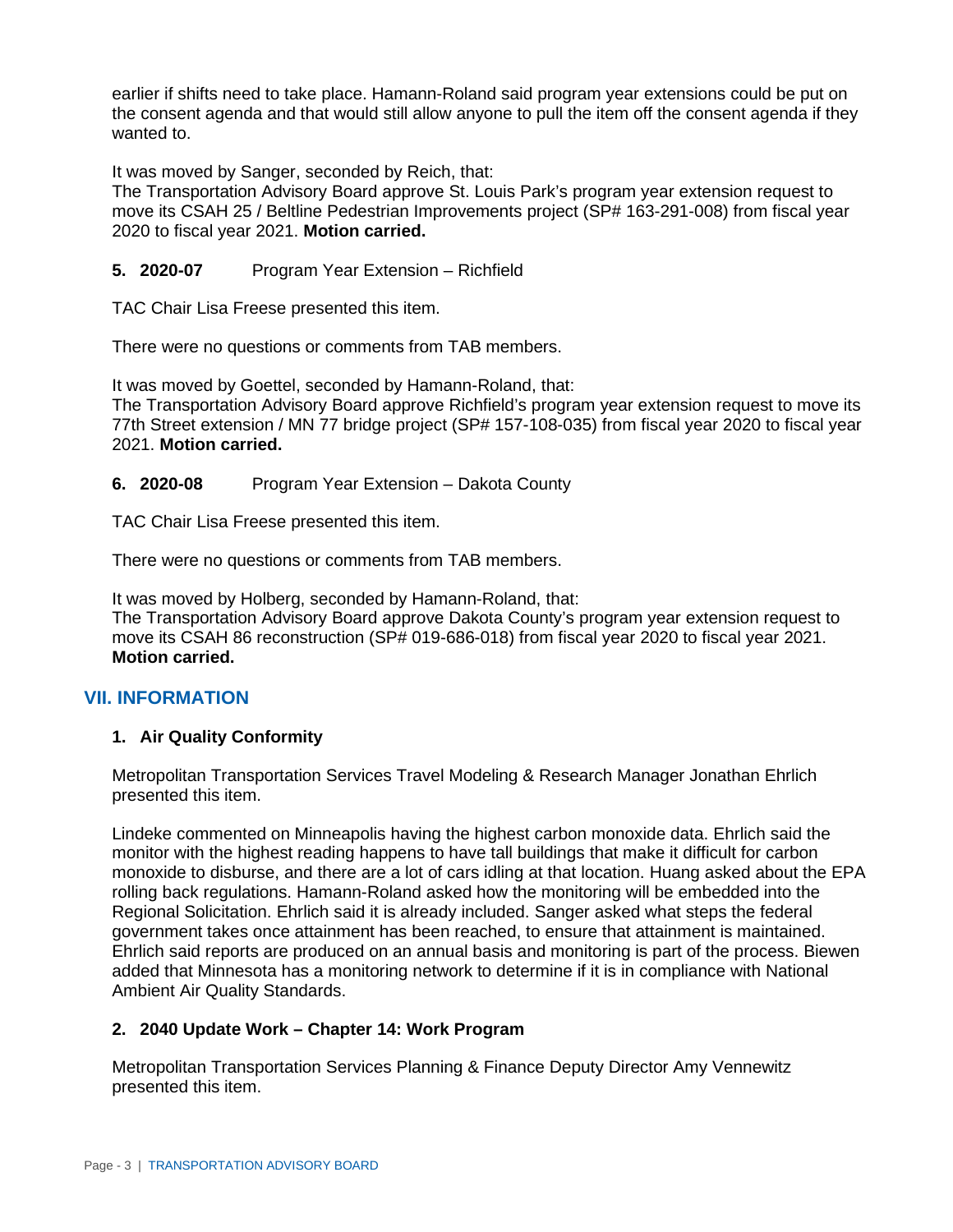earlier if shifts need to take place. Hamann-Roland said program year extensions could be put on the consent agenda and that would still allow anyone to pull the item off the consent agenda if they wanted to.

It was moved by Sanger, seconded by Reich, that:

The Transportation Advisory Board approve St. Louis Park's program year extension request to move its CSAH 25 / Beltline Pedestrian Improvements project (SP# 163-291-008) from fiscal year 2020 to fiscal year 2021. **Motion carried.**

# **5. 2020-07** Program Year Extension – Richfield

TAC Chair Lisa Freese presented this item.

There were no questions or comments from TAB members.

It was moved by Goettel, seconded by Hamann-Roland, that: The Transportation Advisory Board approve Richfield's program year extension request to move its 77th Street extension / MN 77 bridge project (SP# 157-108-035) from fiscal year 2020 to fiscal year 2021. **Motion carried.**

#### **6. 2020-08** Program Year Extension – Dakota County

TAC Chair Lisa Freese presented this item.

There were no questions or comments from TAB members.

It was moved by Holberg, seconded by Hamann-Roland, that: The Transportation Advisory Board approve Dakota County's program year extension request to move its CSAH 86 reconstruction (SP# 019-686-018) from fiscal year 2020 to fiscal year 2021. **Motion carried.**

# **VII. INFORMATION**

#### **1. Air Quality Conformity**

Metropolitan Transportation Services Travel Modeling & Research Manager Jonathan Ehrlich presented this item.

Lindeke commented on Minneapolis having the highest carbon monoxide data. Ehrlich said the monitor with the highest reading happens to have tall buildings that make it difficult for carbon monoxide to disburse, and there are a lot of cars idling at that location. Huang asked about the EPA rolling back regulations. Hamann-Roland asked how the monitoring will be embedded into the Regional Solicitation. Ehrlich said it is already included. Sanger asked what steps the federal government takes once attainment has been reached, to ensure that attainment is maintained. Ehrlich said reports are produced on an annual basis and monitoring is part of the process. Biewen added that Minnesota has a monitoring network to determine if it is in compliance with National Ambient Air Quality Standards.

#### **2. 2040 Update Work – Chapter 14: Work Program**

Metropolitan Transportation Services Planning & Finance Deputy Director Amy Vennewitz presented this item.